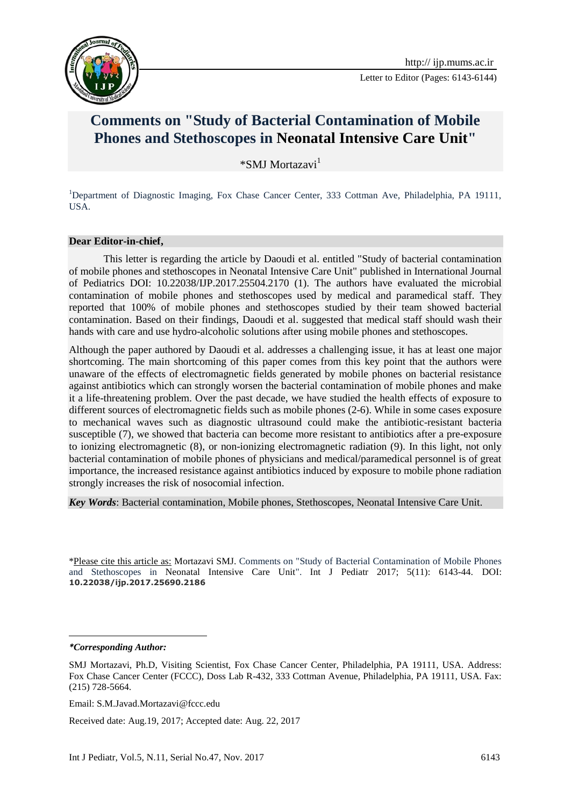

Letter to Editor (Pages: 6143-6144)

## **Comments on "Study of Bacterial Contamination of Mobile Phones and Stethoscopes in Neonatal Intensive Care Unit"**

 $*$ SMI Mortazavi $<sup>1</sup>$ </sup>

<sup>1</sup>Department of Diagnostic Imaging, Fox Chase Cancer Center, 333 Cottman Ave, Philadelphia, PA 19111, USA.

## **Dear Editor-in-chief,**

This letter is regarding the article by Daoudi et al. entitled "Study of bacterial contamination of mobile phones and stethoscopes in Neonatal Intensive Care Unit" published in International Journal of Pediatrics DOI: 10.22038/IJP.2017.25504.2170 (1). The authors have evaluated the microbial contamination of mobile phones and stethoscopes used by medical and paramedical staff. They reported that 100% of mobile phones and stethoscopes studied by their team showed bacterial contamination. Based on their findings, Daoudi et al. suggested that medical staff should wash their hands with care and use hydro-alcoholic solutions after using mobile phones and stethoscopes.

Although the paper authored by Daoudi et al. addresses a challenging issue, it has at least one major shortcoming. The main shortcoming of this paper comes from this key point that the authors were unaware of the effects of electromagnetic fields generated by mobile phones on bacterial resistance against antibiotics which can strongly worsen the bacterial contamination of mobile phones and make it a life-threatening problem. Over the past decade, we have studied the health effects of exposure to different sources of electromagnetic fields such as mobile phones (2-6). While in some cases exposure to mechanical waves such as diagnostic ultrasound could make the antibiotic-resistant bacteria susceptible (7), we showed that bacteria can become more resistant to antibiotics after a pre-exposure to ionizing electromagnetic (8), or non-ionizing electromagnetic radiation (9). In this light, not only bacterial contamination of mobile phones of physicians and medical/paramedical personnel is of great importance, the increased resistance against antibiotics induced by exposure to mobile phone radiation strongly increases the risk of nosocomial infection.

*Key Words*: Bacterial contamination, Mobile phones, Stethoscopes, Neonatal Intensive Care Unit.

\*Please cite this article as: Mortazavi SMJ. Comments on "Study of Bacterial Contamination of Mobile Phones and Stethoscopes in Neonatal Intensive Care Unit". Int J Pediatr 2017; 5(11): 6143-44. DOI: **10.22038/ijp.2017.25690.2186**

*\*Corresponding Author:*

**.** 

Received date: Aug.19, 2017; Accepted date: Aug. 22, 2017

SMJ Mortazavi, Ph.D, Visiting Scientist, Fox Chase Cancer Center, Philadelphia, PA 19111, USA. Address: Fox Chase Cancer Center (FCCC), Doss Lab R-432, 333 Cottman Avenue, Philadelphia, PA 19111, USA. Fax: (215) 728-5664.

Email: S.M.Javad.Mortazavi@fccc.edu